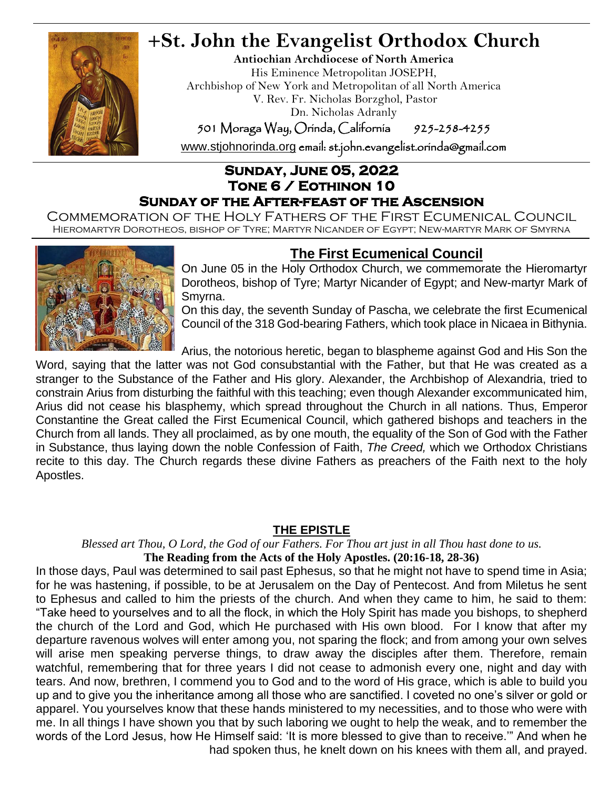

## **+St. John the Evangelist Orthodox Church**

**Antiochian Archdiocese of North America** His Eminence Metropolitan JOSEPH, Archbishop of New York and Metropolitan of all North America V. Rev. Fr. Nicholas Borzghol, Pastor Dn. Nicholas Adranly

501 Moraga Way, Orinda, California 925-258-4255

[www.stjohnorinda.org](http://www.stjohnorinda.org/) email: st.john.evangelist.orinda@gmail.com

### **Sunday, June 05, 2022 Tone 6 / Eothinon 10 Sunday of the After-feast of the Ascension**

Commemoration of the Holy Fathers of the First Ecumenical Council Hieromartyr Dorotheos, bishop of Tyre; Martyr Nicander of Egypt; New-martyr Mark of Smyrna



### **The First Ecumenical Council**

On June 05 in the Holy Orthodox Church, we commemorate the Hieromartyr Dorotheos, bishop of Tyre; Martyr Nicander of Egypt; and New-martyr Mark of Smyrna.

On this day, the seventh Sunday of Pascha, we celebrate the first Ecumenical Council of the 318 God-bearing Fathers, which took place in Nicaea in Bithynia.

Arius, the notorious heretic, began to blaspheme against God and His Son the

Word, saying that the latter was not God consubstantial with the Father, but that He was created as a stranger to the Substance of the Father and His glory. Alexander, the Archbishop of Alexandria, tried to constrain Arius from disturbing the faithful with this teaching; even though Alexander excommunicated him, Arius did not cease his blasphemy, which spread throughout the Church in all nations. Thus, Emperor Constantine the Great called the First Ecumenical Council, which gathered bishops and teachers in the Church from all lands. They all proclaimed, as by one mouth, the equality of the Son of God with the Father in Substance, thus laying down the noble Confession of Faith, *The Creed,* which we Orthodox Christians recite to this day. The Church regards these divine Fathers as preachers of the Faith next to the holy Apostles.

### **THE EPISTLE**

*Blessed art Thou, O Lord, the God of our Fathers. For Thou art just in all Thou hast done to us.*

**The Reading from the Acts of the Holy Apostles. (20:16-18, 28-36)**

In those days, Paul was determined to sail past Ephesus, so that he might not have to spend time in Asia; for he was hastening, if possible, to be at Jerusalem on the Day of Pentecost. And from Miletus he sent to Ephesus and called to him the priests of the church. And when they came to him, he said to them: "Take heed to yourselves and to all the flock, in which the Holy Spirit has made you bishops, to shepherd the church of the Lord and God, which He purchased with His own blood. For I know that after my departure ravenous wolves will enter among you, not sparing the flock; and from among your own selves will arise men speaking perverse things, to draw away the disciples after them. Therefore, remain watchful, remembering that for three years I did not cease to admonish every one, night and day with tears. And now, brethren, I commend you to God and to the word of His grace, which is able to build you up and to give you the inheritance among all those who are sanctified. I coveted no one's silver or gold or apparel. You yourselves know that these hands ministered to my necessities, and to those who were with me. In all things I have shown you that by such laboring we ought to help the weak, and to remember the words of the Lord Jesus, how He Himself said: 'It is more blessed to give than to receive.'" And when he had spoken thus, he knelt down on his knees with them all, and prayed.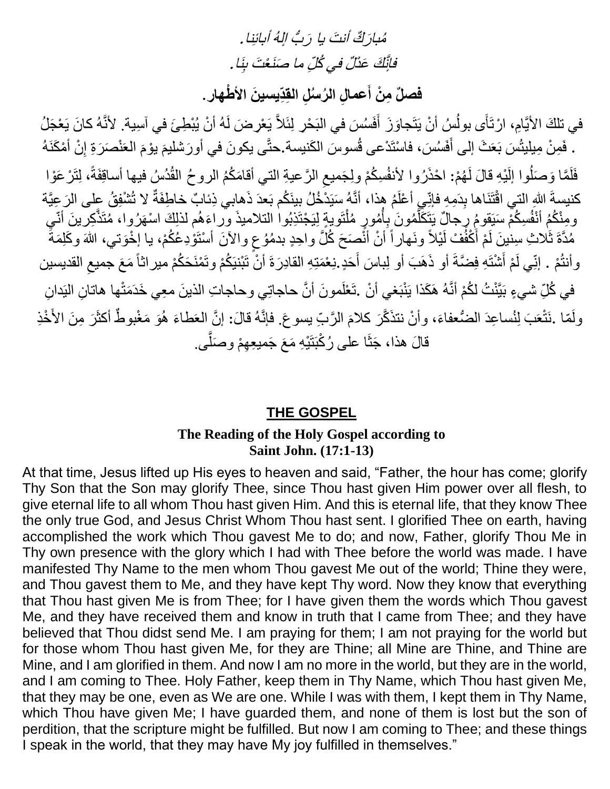مُبارَكٌ أنتَ يا رَبُّ إلهُ أبائِنا. فَإِنَّكَ عَذَلٌ في كُلِّ ما صَنَعْتَ بِنَا .

فصلٌ مِنْ أَعمالِ الرُسنُلِ القِدِّيسينَ الأطُّهارِ .

في تلكَ الأيَّامِ، ارْتَأَى بولُسُ أنْ يَتَجاوَزَ أَفَسُسَ في البَحْرِ لِئَلاَّ يَعْرِضَ لَهُ أنْ يُبْطِئَ في آسِية. لأنَّهُ كانَ يَعْجَلُ َ ُ . فَمِنْ مِبْلِيْتُسَ بَعَثَ إلى أَفَسُسَ، فاسْتَدْعى قُسوسَ الكَنيسة.حتَّى يكونَ في أورَشليمَ يوْمَ العَنْصَرَةِ إِنْ أَمْكَنَهُ  $\frac{1}{2}$ َ َ َ فَلَمَّا وَصَلُوا الِّذِهِ قالَ لَهُمْ: احْذَرُوا لأنفُسِكُمْ ولِجَميعِ الرَّعيةِ التي أقامَكُمُ الروحُ القُدُسُ فيها أساقِفَةً، لِتَرْعَوْا  $\zeta$ كنيسةَ اللهِ التي اقْتَنَاها بِدَمِهِ فإنِّي أعْلَمُ هذا، أنَّهُ سَيَدْخُلُ بينَكُم بَعدَ ذَهابي ذِئابٌ خاطِفَةٌ لا تُشْفِقُ على الرَعِيَّة ومِنْكُمُ أَنْفُسِكُمْ سَيَقومُ رِجالٌ يَتَكَلَّمُونَ بِأُمُورٍ مُلْتَويةٍ لِيَجْتَذِبُوا التلاميذَ وراءَهُم لذلكَ اسْهَرُوا، مُتَذَّكِرينَ أنّي اُ ِأ َّ مُدَّةَ ثَلاثِ سِنْينَ لَمْ أَكْفُفْ لَيْلاً ونَهاراً أنْ أَنُّصَحَ كُلَّ واحِدٍ بدمُوُعٍ والآنَ أسْتَوْدِعُكُمْ، يا إخْوَتي، اللهَ وكَلِمَةً َ وأنتُمْ . إنِّي لَمْ أَشْتَهِ فِضَّةَ أو ذَهَبَ أو لِباسَ أَحَدٍ.نِعْمَتِهِ القادِرَةَ أنْ تَبْنيَكُمْ وتَمْنَحَكُمْ ميراثاً مَعَ جميعِ القديسين  $\zeta$ َ َ في كُلِّ شيءٍ بَيَّنْتُ لكُمْ أنَّهُ هَكَذا يَنْبَغي أنْ .تَعْلَمونَ أنَّ حاجاتِي وحاجاتِ الذينَ معِي خَدَمَتْها هاتانِ النِدانِ ولَمّا .نَتْعَبَ لِنُساعِدَ الضُّعفاءَ، وأنْ نتذَكَّرَ كلامَ الرَّبِّ يسوعَ. فإنَّهُ قالَ: إنَّ العَطاءَ هُوَ مَغْبوطٌ أكثَرَ مِنَ الأَخْذِ َ قالَ هذا، جَثَا على رُكْبَتَيْهِ مَعَ جَميعِهِمْ وصَلَّى.

### **THE GOSPEL**

### **The Reading of the Holy Gospel according to Saint John. (17:1-13)**

At that time, Jesus lifted up His eyes to heaven and said, "Father, the hour has come; glorify Thy Son that the Son may glorify Thee, since Thou hast given Him power over all flesh, to give eternal life to all whom Thou hast given Him. And this is eternal life, that they know Thee the only true God, and Jesus Christ Whom Thou hast sent. I glorified Thee on earth, having accomplished the work which Thou gavest Me to do; and now, Father, glorify Thou Me in Thy own presence with the glory which I had with Thee before the world was made. I have manifested Thy Name to the men whom Thou gavest Me out of the world; Thine they were, and Thou gavest them to Me, and they have kept Thy word. Now they know that everything that Thou hast given Me is from Thee; for I have given them the words which Thou gavest Me, and they have received them and know in truth that I came from Thee; and they have believed that Thou didst send Me. I am praying for them; I am not praying for the world but for those whom Thou hast given Me, for they are Thine; all Mine are Thine, and Thine are Mine, and I am glorified in them. And now I am no more in the world, but they are in the world, and I am coming to Thee. Holy Father, keep them in Thy Name, which Thou hast given Me, that they may be one, even as We are one. While I was with them, I kept them in Thy Name, which Thou have given Me; I have guarded them, and none of them is lost but the son of perdition, that the scripture might be fulfilled. But now I am coming to Thee; and these things I speak in the world, that they may have My joy fulfilled in themselves."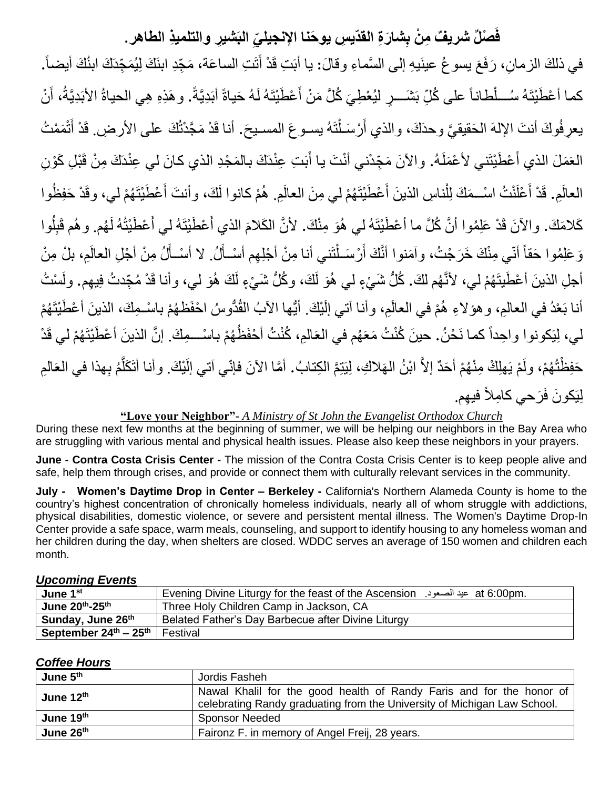## فَصنْلٌ شريفٌ مِنْ بِشارَةِ القدّيسِ يوحَنـا الإنجيليِّ البَشْيرِ والتلميذِ الطـاهرِ .

في ذلكَ الزمانِ، رَفَعَ يسو غُ عينَيهِ إلى السَّماءِ وقالَ: يا أَبَتِ قَدْ أَتَتِ الساعَة، مَجِّدِ ابنَكَ لِيُمَجِّدَكَ ابنُكَ أيضاً. كما أعْطَيْتَهُ سُـــلْطاناً على كُلِّ بَشَـــرٍ ليُعْطِيَ كُلَّ مَنْ أَعْطَيْتَهُ لَهُ حَياةً أَبَدِيَّةً. وهَذِهِ هِي الحياةُ الأبَدِيَّةُ، أَنْ َ أ يعرِ فُوكَ أنتَ الإلهَ الحَقيقيَّ وحدَكَ، والذي أَرْسَـلْنَهُ يسـوعَ المسـيحَ. أنـا قَدْ مَجَّدْتُكَ علـى الأرضِ. قَدْ أَتْمَمْتُ ْ َ َ العَمَلَ الذي أَعْطَيْتَني لأعْمَلَهُ. والآنَ مَجِّدْني أنْتَ يا أَبَتِ عِنْدَكَ بالمَجْدِ الذي كانَ لي عِنْدَكَ مِنْ قَبْلِ كَوْنِ َ ً<br>أ َ ِ العالَمِ. قَدْ أَعْلَنْتُ اسْــمَكَ لِلْنـاسِ الذينَ أَعْطَيْتَهُمْ لي مِنَ العالَمِ. هُمْ كانوا لَكَ، وأنتَ أَعْطَيْتَهُمْ لي، وقَدْ حَفِظُوا َ َ ْ َ كَلامَكَ. والآنَ قَدْ عَلِمُوا أنَّ كُلَّ ما أعْطَيْتَهُ لي هُوَ مِنْكَ. لأنَّ الكَلامَ الذي أَعْطَيْتَهُ لي أَعْطَيْتُهُ لَهُم. وهُم قَبِلُوا  $\overline{1}$ َ َ وَ عَلِمُوا حَقاً أنّي مِنْكَ خَرَجْتُ، وآمَنوا أنَّكَ أَرْسَـلْتَنـي أنـا مِنْ أَجْلِهِم أسْـأَلُ. لا أسْـأَلُ مِنْ أَجْلِ العالَمِ، بلْ مِنْ أَ أُ ْ َ أجلِ الذينَ أعْطَيتَهُمْ لي، لأنَّهُم لكَ. كُلُّ شَيْءٍ لي هُوَ لَكَ، وكُلُّ شَيْءٍ لَكَ هُوَ لي، وأنا قَدْ مُجِّدتُ فِيهِم. ولَسْتُ أنا بَعْدُ في العالمِ، وهؤ لاءِ هُمْ في العالَمِ، وأنا آتي إلَيْكَ. أَيُّها الأبُ الْقُدُّوسُ احْفَظهُمْ باسْـمِكَ، الذينَ أعْطَيْتَهُمْ نة<br>ا ن<br>ا∗ لي، لِيَكونوا واحِداً كما نَحْنُ. حينَ كُنْتُ مَعَهُم في العَالمِ، كُنْتُ أَحْفَظُهُمْ باسْــمِكَ. إنَّ الذينَ أعْطَيْتَهُمْ لي قَدْ حَفِظْتُهُمْ، ولَمْ يَهلِكْ مِنْهُمْ أحَدٌ إلاَّ ابْنُ الْهَلاكِ، لِيَتِمَّ الكِتابُ. أمَّا الآنَ فإنّي آتي إلَيْكَ. وأنا أتَكَلَّمُ بِهذا في العَالمِ َّ لِيَكونَ فَرَحي كامِلاً فيهِم.

#### **"Love your Neighbor"-** *A Ministry of St John the Evangelist Orthodox Church*

During these next few months at the beginning of summer, we will be helping our neighbors in the Bay Area who are struggling with various mental and physical health issues. Please also keep these neighbors in your prayers.

**June - Contra Costa Crisis Center -** The mission of the Contra Costa Crisis Center is to keep people alive and safe, help them through crises, and provide or connect them with culturally relevant services in the community.

**July - Women's Daytime Drop in Center – Berkeley -** California's Northern Alameda County is home to the country's highest concentration of chronically homeless individuals, nearly all of whom struggle with addictions, physical disabilities, domestic violence, or severe and persistent mental illness. The Women's Daytime Drop-In Center provide a safe space, warm meals, counseling, and support to identify housing to any homeless woman and her children during the day, when shelters are closed. WDDC serves an average of 150 women and children each month.

#### *Upcoming Events*

| June 1 <sup>st</sup>                        | at 6:00pm. عيد الصعود. Evening Divine Liturgy for the feast of the Ascension |  |
|---------------------------------------------|------------------------------------------------------------------------------|--|
| June $20^{\text{th}}$ -25 <sup>th</sup>     | Three Holy Children Camp in Jackson, CA                                      |  |
| Sunday, June 26 <sup>th</sup>               | Belated Father's Day Barbecue after Divine Liturgy                           |  |
| September $24^{\text{th}} - 25^{\text{th}}$ | Festival                                                                     |  |

#### *Coffee Hours*

| June 5 <sup>th</sup> | Jordis Fasheh                                                                                                                                    |  |  |
|----------------------|--------------------------------------------------------------------------------------------------------------------------------------------------|--|--|
| June $12th$          | Nawal Khalil for the good health of Randy Faris and for the honor of<br>celebrating Randy graduating from the University of Michigan Law School. |  |  |
| June 19th            | <b>Sponsor Needed</b>                                                                                                                            |  |  |
| June 26th            | Faironz F. in memory of Angel Freij, 28 years.                                                                                                   |  |  |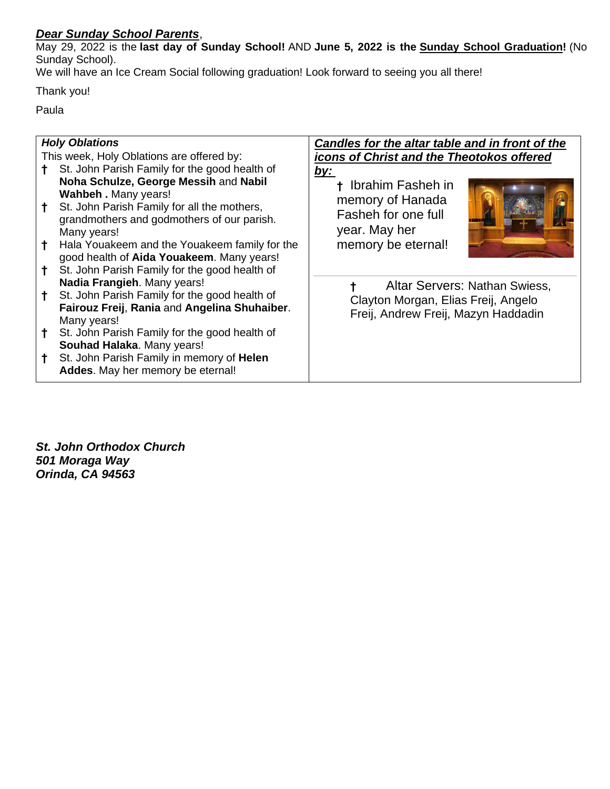#### *Dear Sunday School Parents*,

May 29, 2022 is the **last day of Sunday School!** AND **June 5, 2022 is the Sunday School Graduation!** (No Sunday School).

We will have an Ice Cream Social following graduation! Look forward to seeing you all there!

Thank you!

Paula

| <b>Holy Oblations</b>                     |                                                                                                                                                                           | Candles for the altar table and in front of the                                            |
|-------------------------------------------|---------------------------------------------------------------------------------------------------------------------------------------------------------------------------|--------------------------------------------------------------------------------------------|
| This week, Holy Oblations are offered by: |                                                                                                                                                                           | icons of Christ and the Theotokos offered                                                  |
|                                           | St. John Parish Family for the good health of                                                                                                                             | <u>by:</u>                                                                                 |
|                                           | Noha Schulze, George Messih and Nabil<br>Wahbeh . Many years!<br>St. John Parish Family for all the mothers,<br>grandmothers and godmothers of our parish.<br>Many years! | <sup>†</sup> Ibrahim Fasheh in<br>memory of Hanada<br>Fasheh for one full<br>year. May her |
|                                           | Hala Youakeem and the Youakeem family for the<br>good health of Aida Youakeem. Many years!                                                                                | memory be eternal!                                                                         |
|                                           | St. John Parish Family for the good health of<br>Nadia Frangieh. Many years!                                                                                              | Altar Servers: Nathan Swiess,                                                              |
|                                           | St. John Parish Family for the good health of<br>Fairouz Freij, Rania and Angelina Shuhaiber.<br>Many years!                                                              | Clayton Morgan, Elias Freij, Angelo<br>Freij, Andrew Freij, Mazyn Haddadin                 |
|                                           | St. John Parish Family for the good health of<br>Souhad Halaka. Many years!                                                                                               |                                                                                            |
|                                           | St. John Parish Family in memory of Helen<br>Addes. May her memory be eternal!                                                                                            |                                                                                            |

*St. John Orthodox Church 501 Moraga Way Orinda, CA 94563*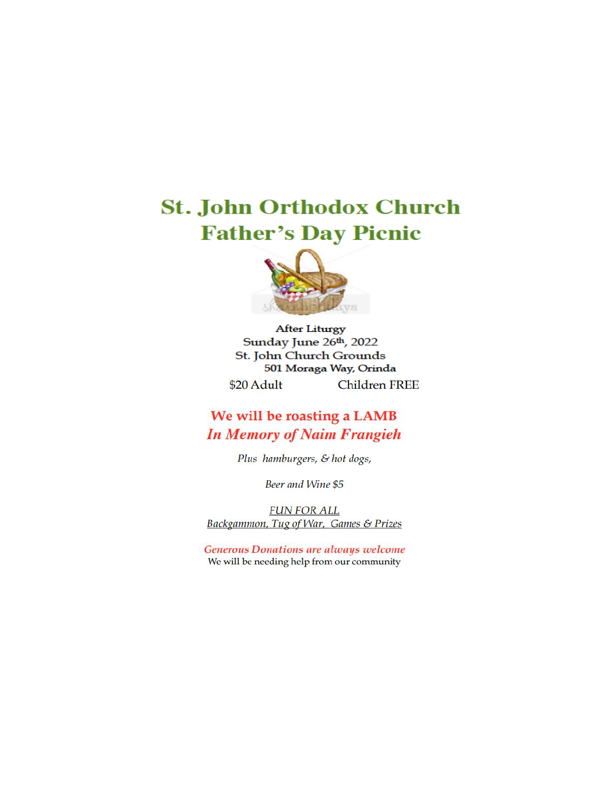## **St. John Orthodox Church Father's Day Picnic**



**After Liturgy** Sunday June 26th, 2022 St. John Church Grounds 501 Moraga Way, Orinda **Children FREE** \$20 Adult

### We will be roasting a LAMB **In Memory of Naim Frangieh**

Plus hamburgers, & hot dogs,

Beer and Wine \$5

**FUN FOR ALL** Backgammon, Tug of War, Games & Prizes

**Generous Donations are always welcome** We will be needing help from our community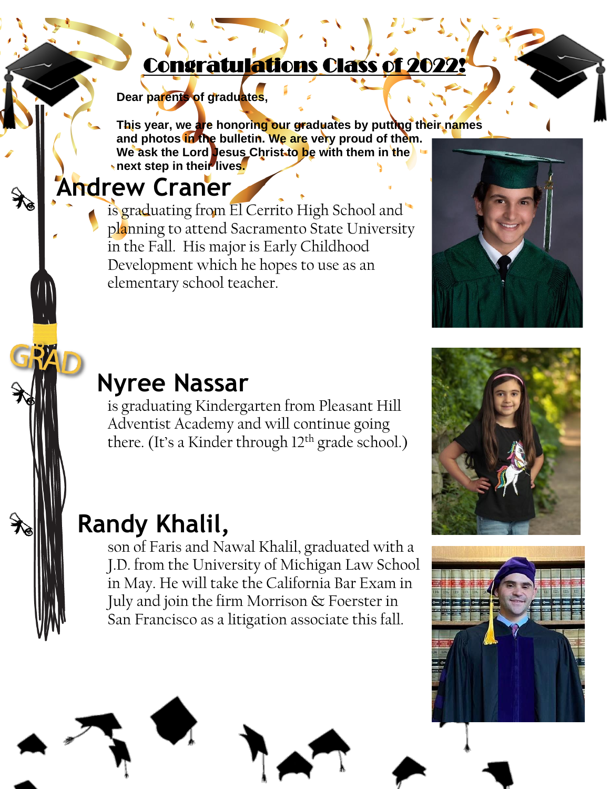## Congratulations Class of 2022!

**Dear parents of graduates,**

**This year, we are honoring our graduates by putting their names and photos in the bulletin. We are very proud of them. We ask the Lord Jesus Christ to be with them in the hext step in their lives.** 

# **Andrew Craner**

is graduating from El Cerrito High School and planning to attend Sacramento State University in the Fall. His major is Early Childhood Development which he hopes to use as an elementary school teacher.



# **Nyree Nassar**

is graduating Kindergarten from Pleasant Hill Adventist Academy and will continue going there. (It's a Kinder through 12<sup>th</sup> grade school.)

# **Randy Khalil,**

son of Faris and Nawal Khalil, graduated with a J.D. from the University of Michigan Law School in May. He will take the California Bar Exam in July and join the firm Morrison & Foerster in San Francisco as a litigation associate this fall.